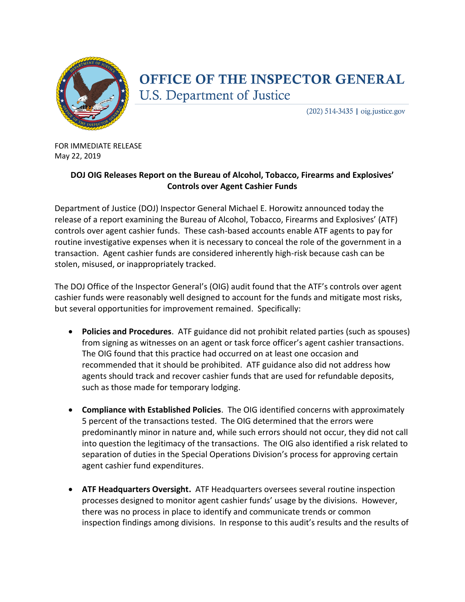

## OFFICE OF THE INSPECTOR GENERAL **U.S. Department of Justice**

 $(202)$  514-3435 | oig.justice.gov

FOR IMMEDIATE RELEASE May 22, 2019

## **DOJ OIG Releases Report on the Bureau of Alcohol, Tobacco, Firearms and Explosives' Controls over Agent Cashier Funds**

Department of Justice (DOJ) Inspector General Michael E. Horowitz announced today the release of a report examining the Bureau of Alcohol, Tobacco, Firearms and Explosives' (ATF) controls over agent cashier funds. These cash-based accounts enable ATF agents to pay for routine investigative expenses when it is necessary to conceal the role of the government in a transaction. Agent cashier funds are considered inherently high-risk because cash can be stolen, misused, or inappropriately tracked.

The DOJ Office of the Inspector General's (OIG) audit found that the ATF's controls over agent cashier funds were reasonably well designed to account for the funds and mitigate most risks, but several opportunities for improvement remained. Specifically:

- **Policies and Procedures**. ATF guidance did not prohibit related parties (such as spouses) from signing as witnesses on an agent or task force officer's agent cashier transactions. The OIG found that this practice had occurred on at least one occasion and recommended that it should be prohibited. ATF guidance also did not address how agents should track and recover cashier funds that are used for refundable deposits, such as those made for temporary lodging.
- **Compliance with Established Policies**. The OIG identified concerns with approximately 5 percent of the transactions tested. The OIG determined that the errors were predominantly minor in nature and, while such errors should not occur, they did not call into question the legitimacy of the transactions. The OIG also identified a risk related to separation of duties in the Special Operations Division's process for approving certain agent cashier fund expenditures.
- **ATF Headquarters Oversight.** ATF Headquarters oversees several routine inspection processes designed to monitor agent cashier funds' usage by the divisions. However, there was no process in place to identify and communicate trends or common inspection findings among divisions. In response to this audit's results and the results of